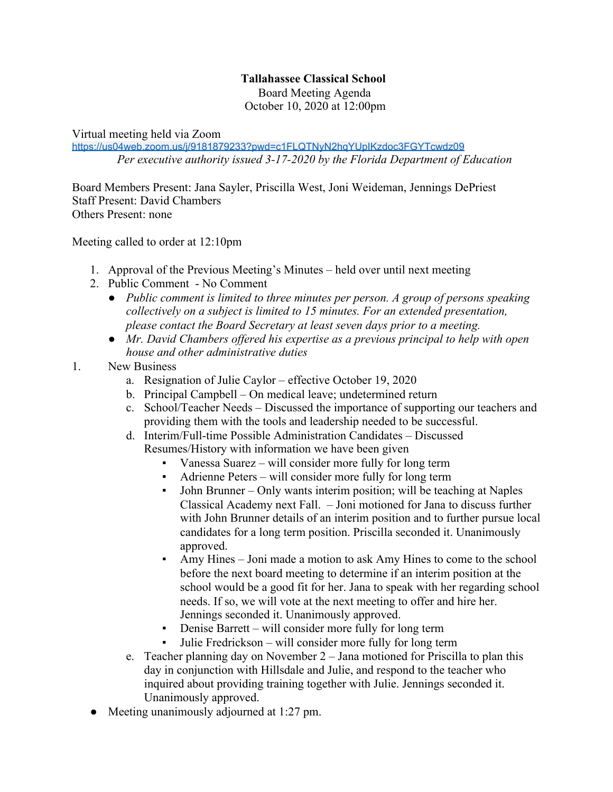## **Tallahassee Classical School**

Board Meeting Agenda October 10, 2020 at 12:00pm

Virtual meeting held via Zoom

<https://us04web.zoom.us/j/9181879233?pwd=c1FLQTNyN2hqYUpIKzdoc3FGYTcwdz09> *Per executive authority issued 3-17-2020 by the Florida Department of Education*

Board Members Present: Jana Sayler, Priscilla West, Joni Weideman, Jennings DePriest Staff Present: David Chambers Others Present: none

Meeting called to order at 12:10pm

- 1. Approval of the Previous Meeting's Minutes held over until next meeting
- 2. Public Comment No Comment
	- *● Public comment is limited to three minutes per person. A group of persons speaking collectively on a subject is limited to 15 minutes. For an extended presentation, please contact the Board Secretary at least seven days prior to a meeting.*
	- *● Mr. David Chambers offered his expertise as a previous principal to help with open house and other administrative duties*
- 1. New Business
	- a. Resignation of Julie Caylor effective October 19, 2020
	- b. Principal Campbell On medical leave; undetermined return
	- c. School/Teacher Needs Discussed the importance of supporting our teachers and providing them with the tools and leadership needed to be successful.
	- d. Interim/Full-time Possible Administration Candidates Discussed Resumes/History with information we have been given
		- Vanessa Suarez will consider more fully for long term
		- Adrienne Peters will consider more fully for long term
		- John Brunner Only wants interim position; will be teaching at Naples Classical Academy next Fall. – Joni motioned for Jana to discuss further with John Brunner details of an interim position and to further pursue local candidates for a long term position. Priscilla seconded it. Unanimously approved.
		- Amy Hines Joni made a motion to ask Amy Hines to come to the school before the next board meeting to determine if an interim position at the school would be a good fit for her. Jana to speak with her regarding school needs. If so, we will vote at the next meeting to offer and hire her. Jennings seconded it. Unanimously approved.
		- Denise Barrett will consider more fully for long term
		- Julie Fredrickson will consider more fully for long term
	- e. Teacher planning day on November 2 Jana motioned for Priscilla to plan this day in conjunction with Hillsdale and Julie, and respond to the teacher who inquired about providing training together with Julie. Jennings seconded it. Unanimously approved.
	- Meeting unanimously adjourned at 1:27 pm.